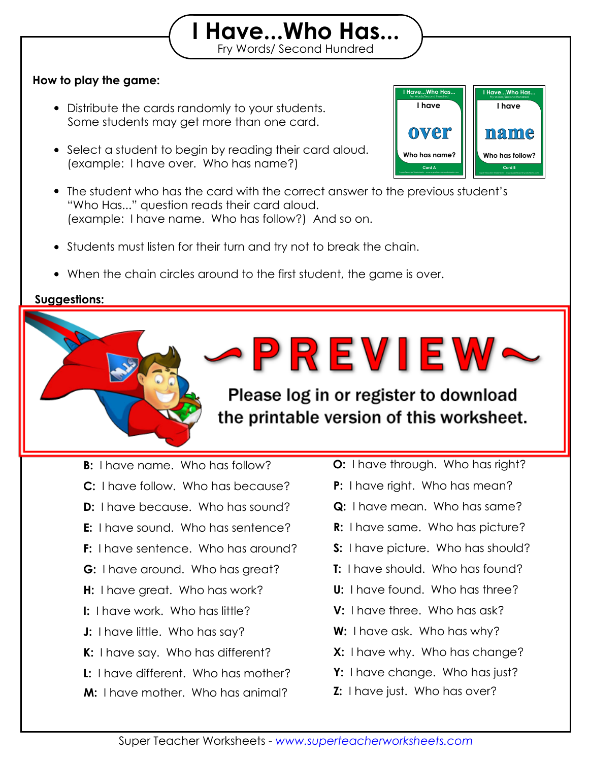## **How to play the game:**

- Distribute the cards randomly to your students. Some students may get more than one card.
- Select a student to begin by reading their card aloud. (example: I have over. Who has name?)
- The student who has the card with the correct answer to the previous student's "Who Has..." question reads their card aloud. (example: I have name. Who has follow?) And so on.

Print out the "I Have, Who Has" flashcards on card stock and laminate them so they will

Fry Words/ Second Hundred **I Have...Who Has...**

- Students must listen for their turn and try not to break the chain.
- When the chain circles around to the first student, the game is over.

then see if they can "beat the timer." Set a timer for 2 minutes, 5 minutes,

## **Suggestions:**

**Answer Chain:**

last for many years to come.

or any amount of the street of the street of the street of the street of the street of the street of the street Challenge the game before the time the grate the printable version of this worksheet.

·PREVIEW~

**B:** I have name. Who has follow?

**A:** I have over. Who has name?

- **C:** I have follow. Who has because?
- **D:** I have because. Who has sound?
- **E:** I have sound. Who has sentence?
- **F:** I have sentence. Who has around?
- **G:** I have around. Who has great?
- **H:** I have great. Who has work?
- **I:** I have work. Who has little?
- **J:** I have little. Who has say?
- **K:** I have say. Who has different?
- **L:** I have different. Who has mother?
- **M:** I have mother. Who has animal?

**O:** I have through. Who has right?

**I Have...Who Has...**<br>Fry Words/Second Hundred

Fry Words/Second Hundred **I Have...Who Has...**

**I have**

Super Teacher Worksheets - *www.superteacherworksheets.com* **Card B**

**Who has follow?**

**name**

**I have**

Super Teacher Worksheets - *www.superteacherworksheets.com* **Card A**

**Who has name?**

**over**

**N:** I have animal. Who has through?

- **P:** I have right. Who has mean?
- **Q:** I have mean. Who has same?
- **R:** I have same. Who has picture?
- **S:** I have picture. Who has should?
- **T:** I have should. Who has found?
- **U:** I have found. Who has three?
- **V:** I have three. Who has ask?
- **W:** I have ask. Who has why?
- **X:** I have why. Who has change?
- **Y:** I have change. Who has just?
- **Z:** I have just. Who has over?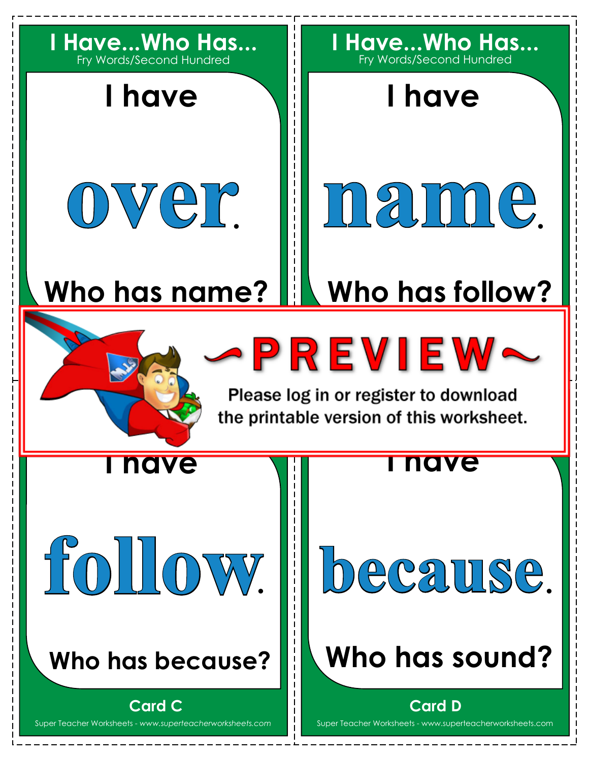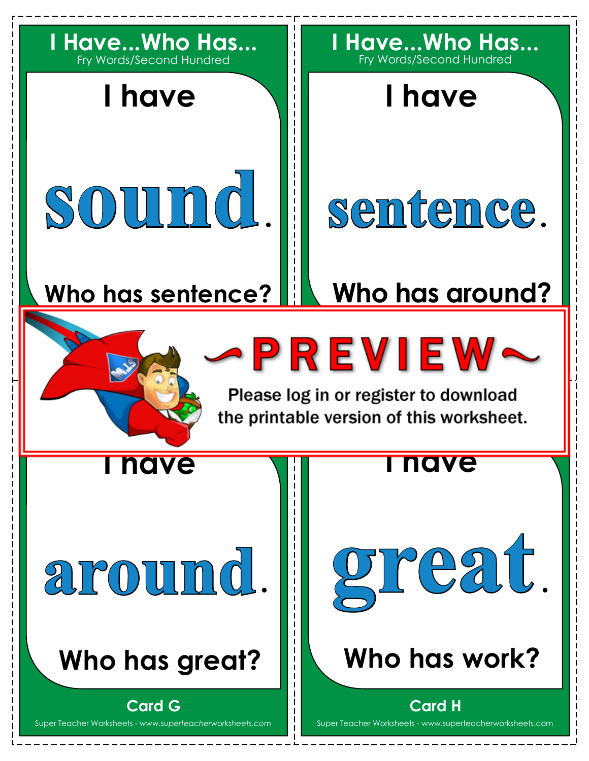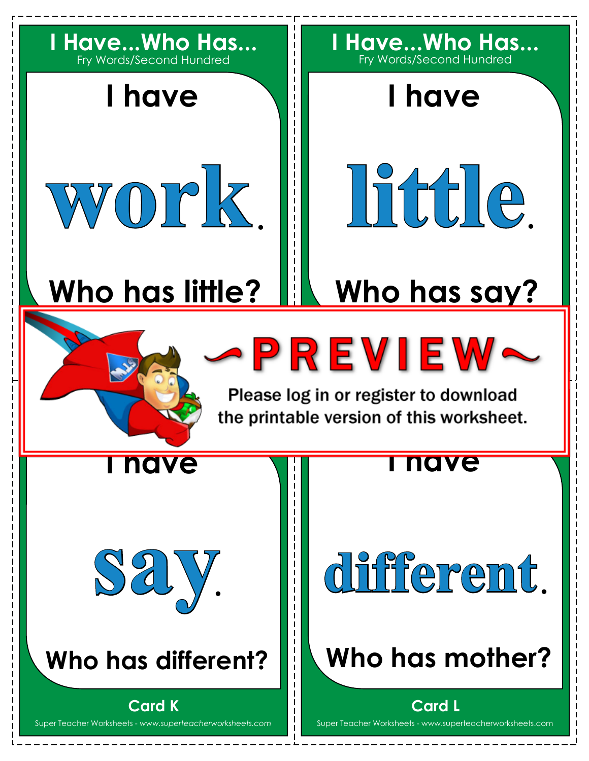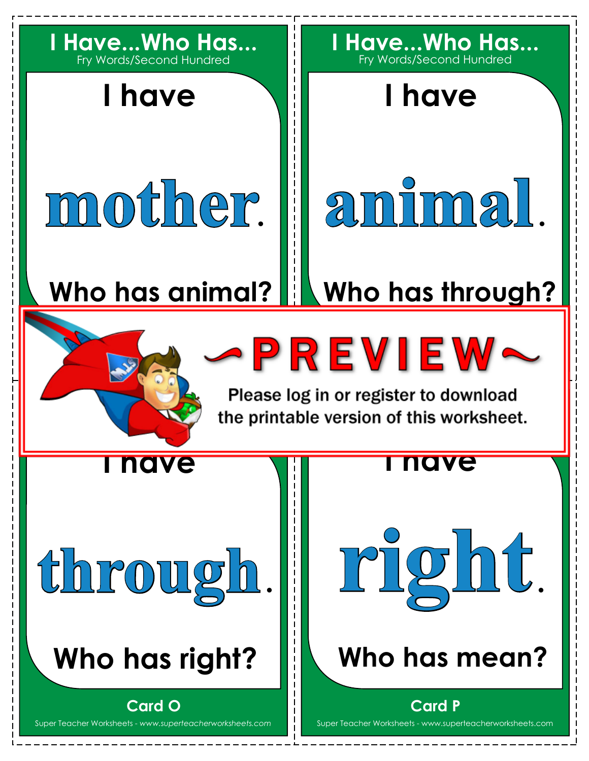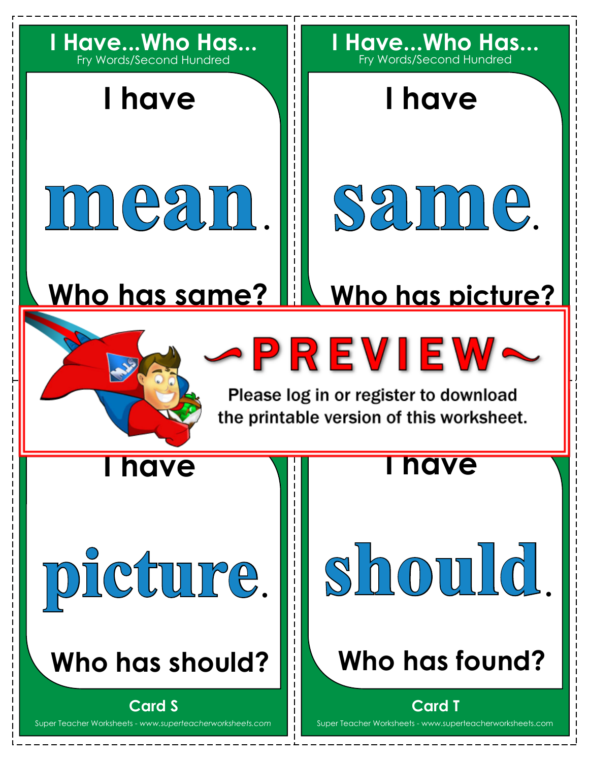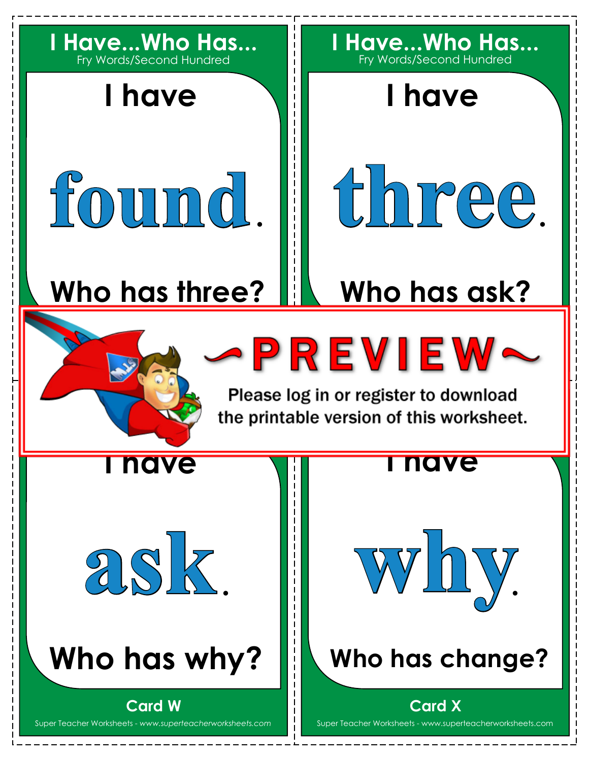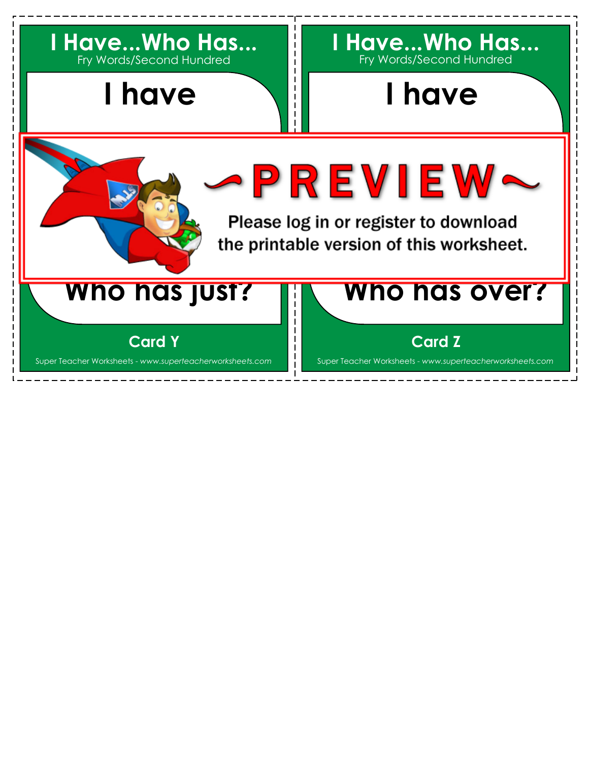